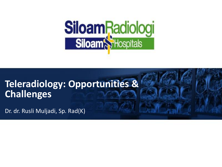

# **Teleradiology: Opportunities & Challenges**

Dr. dr. Rusli Muljadi, Sp. Rad(K)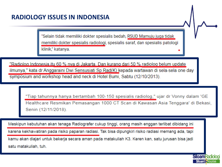#### **RADIOLOGY ISSUES IN INDONESIA**

"Selain tidak memiliki dokter spesialis bedah, RSUD Mamuju juga tidak memiliki dokter spesialis radiologi, spesialis saraf, dan spesialis patologi klinik," katanya.

"Radiolog Indonesia itu 60 % nya di Jakarta. Dan kurang dari 50 % radiolog belum update ilmunya," kata dr Anggaraini Dwi Sensusiati Sp.Rad(K) kepada wartawan di sela-sela one day symposium and workshop head and neck di Hotel Bumi, Sabtu (12/10/2013).

"Tiap tahunnya hanya bertambah 100-150 spesialis radiolog," ujar dr Vonny dalam 'GE Healthcare Resmikan Pemasangan 1000 CT Scan di Kawasan Asia Tenggara' di Bekasi, Senin (12/11/2018).

Meskipun kebutuhan akan tenaga Radiografer cukup tinggi, orang masih enggan terlibat dibidang ini karena kekhawatiran pada risiko paparan radiasi. Tak bisa dipungkiri risiko radiasi memang ada, tapi kamu akan diajari untuk bekerja secara aman pada matakuliah K3. Keren kan, satu jurusan bisa jadi satu matakuliah, tuh.

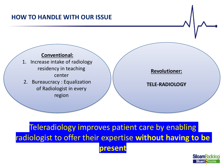

# Teleradiology improves patient care by enabling radiologist to offer their expertise **without having to be present**

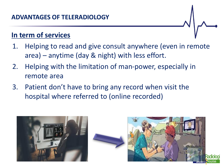### **In term of services**

- 1. Helping to read and give consult anywhere (even in remote area) – anytime (day & night) with less effort.
- 2. Helping with the limitation of man-power, especially in remote area
- 3. Patient don't have to bring any record when visit the hospital where referred to (online recorded)



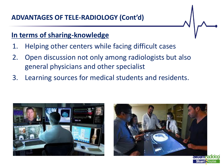## **In terms of sharing-knowledge**

- 1. Helping other centers while facing difficult cases
- 2. Open discussion not only among radiologists but also general physicians and other specialist
- 3. Learning sources for medical students and residents.



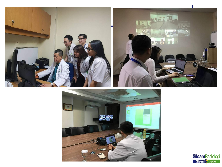



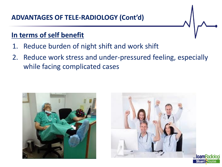## **In terms of self benefit**

- 1. Reduce burden of night shift and work shift
- 2. Reduce work stress and under-pressured feeling, especially while facing complicated cases





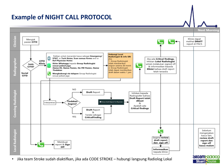

**Siloam** Hospitals

• Jika team Stroke sudah diaktifkan, jika ada CODE STROKE – hubungi langsung Radiolog Lokal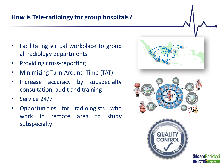#### **How is Tele-radiology for group hospitals?**

- Facilitating virtual workplace to group all radiology departments
- Providing cross-reporting
- Minimizing Turn-Around-Time (TAT)
- Increase accuracy by subspecialty consultation, audit and training
- Service 24/7
- Opportunities for radiologists who work in remote area to study subspecialty

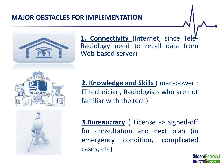#### **MAJOR OBSTACLES FOR IMPLEMENTATION**





1. **Connectivity** (Internet, since Tele-Radiology need to recall data from Web-based server)

**2. Knowledge and Skills** ( man-power : IT technician, Radiologists who are not familiar with the tech)

**3.Bureaucracy** ( License -> signed-off for consultation and next plan (in emergency condition, complicated cases, etc)

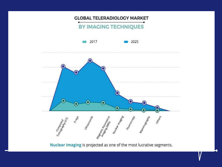

Nuclear Imaging is projected as one of the most lucrative segments.